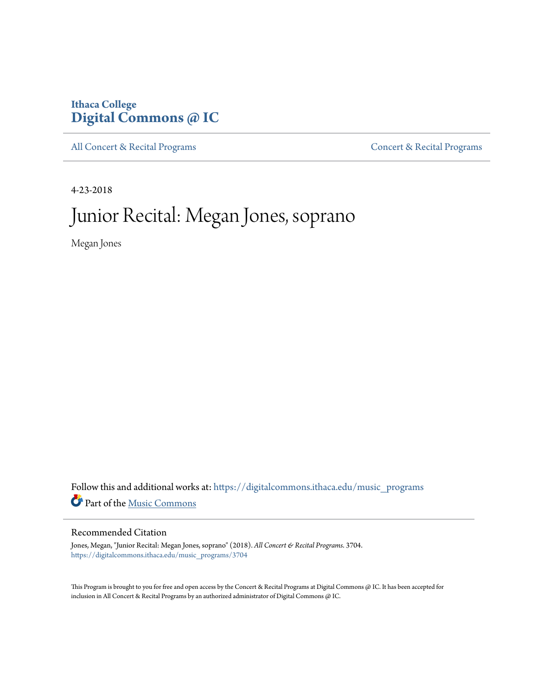## **Ithaca College [Digital Commons @ IC](https://digitalcommons.ithaca.edu?utm_source=digitalcommons.ithaca.edu%2Fmusic_programs%2F3704&utm_medium=PDF&utm_campaign=PDFCoverPages)**

[All Concert & Recital Programs](https://digitalcommons.ithaca.edu/music_programs?utm_source=digitalcommons.ithaca.edu%2Fmusic_programs%2F3704&utm_medium=PDF&utm_campaign=PDFCoverPages) **[Concert & Recital Programs](https://digitalcommons.ithaca.edu/som_programs?utm_source=digitalcommons.ithaca.edu%2Fmusic_programs%2F3704&utm_medium=PDF&utm_campaign=PDFCoverPages)** 

4-23-2018

# Junior Recital: Megan Jones, soprano

Megan Jones

Follow this and additional works at: [https://digitalcommons.ithaca.edu/music\\_programs](https://digitalcommons.ithaca.edu/music_programs?utm_source=digitalcommons.ithaca.edu%2Fmusic_programs%2F3704&utm_medium=PDF&utm_campaign=PDFCoverPages) Part of the [Music Commons](http://network.bepress.com/hgg/discipline/518?utm_source=digitalcommons.ithaca.edu%2Fmusic_programs%2F3704&utm_medium=PDF&utm_campaign=PDFCoverPages)

### Recommended Citation

Jones, Megan, "Junior Recital: Megan Jones, soprano" (2018). *All Concert & Recital Programs*. 3704. [https://digitalcommons.ithaca.edu/music\\_programs/3704](https://digitalcommons.ithaca.edu/music_programs/3704?utm_source=digitalcommons.ithaca.edu%2Fmusic_programs%2F3704&utm_medium=PDF&utm_campaign=PDFCoverPages)

This Program is brought to you for free and open access by the Concert & Recital Programs at Digital Commons @ IC. It has been accepted for inclusion in All Concert & Recital Programs by an authorized administrator of Digital Commons @ IC.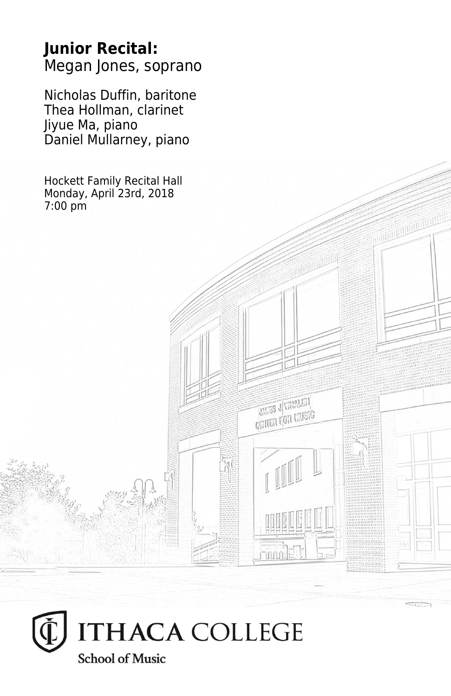## **Junior Recital:** Megan Jones, soprano

Nicholas Duffin, baritone Thea Hollman, clarinet Jiyue Ma, piano Daniel Mullarney, piano

Hockett Family Recital Hall Monday, April 23rd, 2018 7:00 pm

**THES JUVANIEN CRITER FOR LIVEIG** 

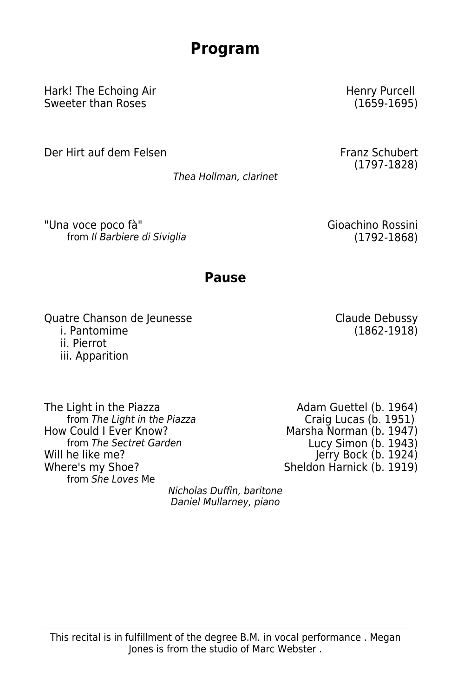# **Program**

Hark! The Echoing Air Sweeter than Roses

Der Hirt auf dem Felsen Franz Schubert

Thea Hollman, clarinet

"Una voce poco fà" Gioachino Rossini from Il Barbiere di Siviglia (1792-1868)

## **Pause**

Quatre Chanson de Jeunesse i. Pantomime ii. Pierrot iii. Apparition

The Light in the Piazza<br>
from The Light in the Piazza<br>
Craig Lucas (b. 1951) from The Light in the Piazza<br>How Could I Ever Know? from The Sectret Garden Lucy Simon (b. 1943) Will he like me? Where's my Shoe? from She Loves Me

Marsha Norman (b. 1947) Jerry Bock (b. 1924) Sheldon Harnick (b. 1919)

Nicholas Duffin, baritone Daniel Mullarney, piano

Henry Purcell (1659-1695)

(1797-1828)

Claude Debussy (1862-1918)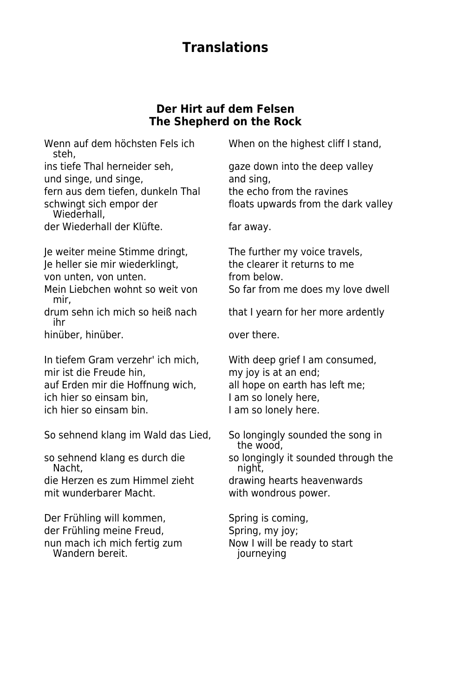## **Translations**

#### **Der Hirt auf dem Felsen The Shepherd on the Rock**

steh,

und singe, und singe, and sing,

Wiederhall,

der Wiederhall der Klüfte. Far away.

Je weiter meine Stimme dringt, The further my voice travels,<br>Ie heller sie mir wiederklingt. The clearer it returns to me Je heller sie mir wiederklingt,

von unten, von unten.<br>
internalisment of the from below.

Mein Liebchen wohnt so weit von So far from me does my love dwell mir,

ihr

hinüber, hinüber. **Example 19 and 19 and 19 and 19 and 19 and 19 and 19 and 19 and 19 and 19 and 19 and 19 and 19 and 19 and 19 and 19 and 19 and 19 and 19 and 19 and 19 and 19 and 19 and 19 and 19 and 19 and 19 and 19 and** 

In tiefem Gram verzehr' ich mich, With deep grief I am consumed, mir ist die Freude hin, my joy is at an end; auf Erden mir die Hoffnung wich, all hope on earth has left me; ich hier so einsam bin, I am so lonely here, ich hier so einsam bin. I am so lonely here.

So sehnend klang im Wald das Lied, So longingly sounded the song in

die Herzen es zum Himmel zieht drawing hearts heavenwards mit wunderbarer Macht. with wondrous power.

Der Frühling will kommen, Spring is coming, der Frühling meine Freud, Spring, my joy; nun mach ich mich fertig zum Now I will be ready to start<br>
Vandern bereit. 
Vandern versite in purneying Wandern bereit.

Wenn auf dem höchsten Fels ich When on the highest cliff I stand,

ins tiefe Thal herneider seh, gaze down into the deep valley fern aus dem tiefen, dunkeln Thal the echo from the ravines schwingt sich empor der floats upwards from the dark valley

drum sehn ich mich so heiß nach that I yearn for her more ardently

 the wood, so sehnend klang es durch die so longingly it sounded through the so longingly it sounded through the night,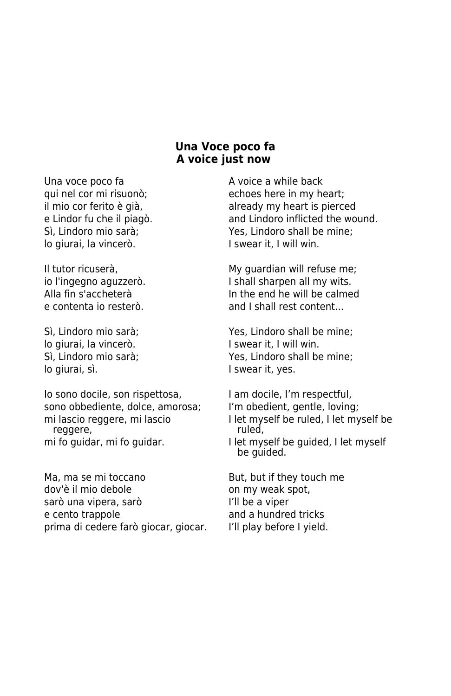#### **Una Voce poco fa A voice just now**

Una voce poco fa A voice a while back lo giurai, la vincerò. I swear it, I will win.

lo giurai, la vincerò.<br>I swear it, I will win. lo giurai, sì. I swear it, yes.

Io sono docile, son rispettosa, I am docile, I'm respectful, sono obbediente, dolce, amorosa; I'm obedient, gentle, loving; reggere, mi fo quidar, mi fo quidar. I let myself be quided, I let myself

Ma, ma se mi toccano But, but if they touch me dov'è il mio debole on my weak spot, sarò una vipera, sarò I'll be a viper e cento trappole and a hundred tricks prima di cedere farò giocar, giocar. I'll play before I yield.

qui nel cor mi risuonò; entre echoes here in my heart; il mio cor ferito è già, entre la already my heart is pierced e Lindor fu che il piagò. e contrarte and Lindoro inflicted the wound. Sì, Lindoro mio sarà; Yes, Lindoro shall be mine;

Il tutor ricuserà, messa est est el material de My guardian will refuse me; io l'ingegno aguzzerò. I shall sharpen all my wits. Alla fin s'accheterà In the end he will be calmed e contenta io resterò. Accessor and I shall rest content...

Sì, Lindoro mio sarà; Yes, Lindoro shall be mine; Sì, Lindoro mio sarà; Yes, Lindoro shall be mine;

- 
- mi lascio reggere, mi lascio interessa di let myself be ruled, I let myself be reggere.<br>I ruled.
	- be guided.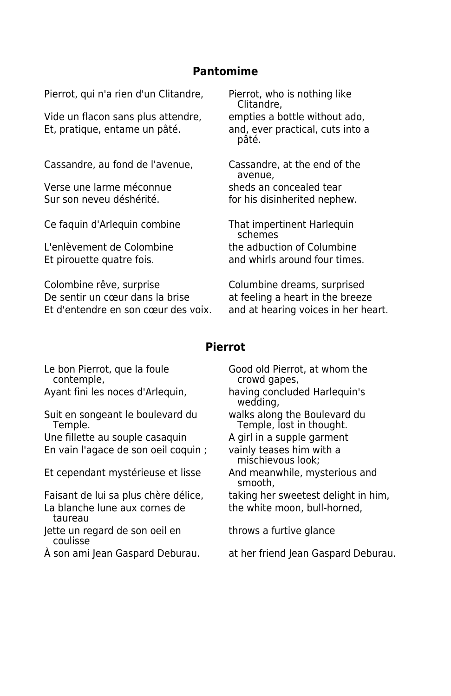#### **Pantomime**

Pierrot, qui n'a rien d'un Clitandre, Pierrot, who is nothing like

Vide un flacon sans plus attendre, empties a bottle without ado, Et, pratique, entame un pâté. and, ever practical, cuts into a

Cassandre, au fond de l'avenue, Cassandre, at the end of the

Verse une larme méconnue sheds an concealed tear Sur son neveu déshérité. This disinherited nephew.

Ce faquin d'Arlequin combine That impertinent Harlequin

Colombine rêve, surprise Columbine dreams, surprised De sentir un cœur dans la brise at feeling a heart in the breeze Et d'entendre en son cœur des voix. and at hearing voices in her heart.

Clitandre,

pâté.

avenue,

 schemes L'enlèvement de Colombine the adbuction of Columbine Et pirouette quatre fois. The same and whirls around four times.

#### **Pierrot**

Suit en songeant le boulevard du valks along the Boulevard du<br>Temple, lost in thought.

Une fillette au souple casaquin A girl in a supple garment En vain l'agace de son oeil coquin ; vainly teases him with a

Et cependant mystérieuse et lisse And meanwhile, mysterious and

Faisant de lui sa plus chère délice, taking her sweetest delight in him, La blanche lune aux cornes de the white moon, bull-horned, taureau

- Jette un regard de son oeil en throws a furtive glance coulisse
- 

Le bon Pierrot, que la foule<br>
contemple, example contemple, the contemple, crowd gapes,

Ayant fini les noces d'Arlequin, having concluded Harlequin's wedding,

Temple, lost in thought.

mischievous look;

smooth,

À son ami Jean Gaspard Deburau. at her friend Jean Gaspard Deburau.